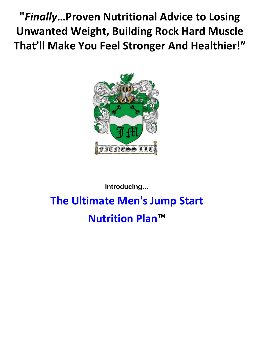**"***Finally***…Proven Nutritional Advice to Losing Unwanted Weight, Building Rock Hard Muscle That'll Make You Feel Stronger And Healthier!"**



# **Introducing… The Ultimate Men's Jump Start**

**Nutrition Plan™**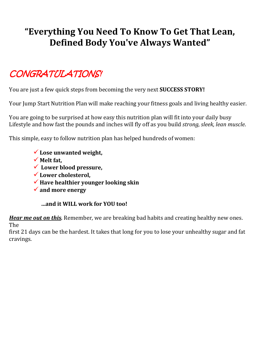# **"Everything You Need To Know To Get That Lean, Defined Body You've Always Wanted"**

# CONGRATULATIONS!

You are just a few quick steps from becoming the very next **SUCCESS STORY!**

Your Jump Start Nutrition Plan will make reaching your fitness goals and living healthy easier.

You are going to be surprised at how easy this nutrition plan will fit into your daily busy Lifestyle and how fast the pounds and inches will fly off as you build *strong, sleek, lean muscle*.

This simple, easy to follow nutrition plan has helped hundreds of women:

- **Lose unwanted weight,**
- **Melt fat,**
- **Lower blood pressure,**
- **Lower cholesterol,**
- **Have healthier younger looking skin**
- **and more energy**

**…and it WILL work for YOU too!**

*Hear me out on this .* Remember, we are breaking bad habits and creating healthy new ones. The

first 21 days can be the hardest. It takes that long for you to lose your unhealthy sugar and fat cravings.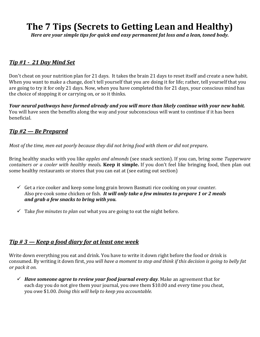## **The 7 Tips (Secrets to Getting Lean and Healthy)**

*Here are your simple tips for quick and easy permanent fat loss and a lean, toned body.*

#### *Tip #1 - 21 Day Mind Set*

Don't cheat on your nutrition plan for 21 days. It takes the brain 21 days to reset itself and create a new habit. When you want to make a change, don't tell yourself that you are doing it for life; rather, tell yourself that you are going to try it for only 21 days. Now, when you have completed this for 21 days, your conscious mind has the choice of stopping it or carrying on, or so it thinks.

*Your neural pathways have formed already and you will more than likely continue with your new habit.* You will have seen the benefits along the way and your subconscious will want to continue if it has been beneficial.

#### *Tip #2 — Be Prepared*

Most of the time, men eat poorly because they did not bring food with them or did not prepare.

Bring healthy snacks with you like *apples and almonds* (see snack section). If you can, bring some *Tupperware containers or a cooler with healthy meals.* **Keep it simple.** If you don't feel like bringing food, then plan out some healthy restaurants or stores that you can eat at (see eating out section)

- $\checkmark$  Get a rice cooker and keep some long grain brown Basmati rice cooking on your counter. Also pre-cook some chicken or fish. *It will only take a few minutes to prepare 1 or 2 meals and grab a few snacks to bring with you.*
- $\checkmark$  Take *five minutes to plan out* what you are going to eat the night before.

#### *Tip # 3 — Keep a food diary for at least one week*

Write down everything you eat and drink. You have to write it down right before the food or drink is consumed. By writing it down first, you will have a moment to stop and think if this decision is going to belly fat *or pack it on.*

 *Have someone agree to review your food journal every day*. Make an agreement that for each day you do not give them your journal, you owe them \$10.00 and every time you cheat, you owe \$1.00. *Doing this will help to keep you accountable.*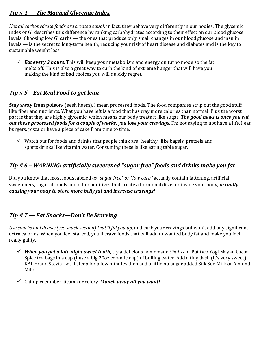#### *Tip # 4 — The Magical Glycemic Index*

*Not all carbohydrate foods are created equal*; in fact, they behave very differently in our bodies. The glycemic index or GI describes this difference by ranking carbohydrates according to their effect on our blood glucose levels. Choosing low GI carbs — the ones that produce only small changes in our blood glucose and insulin levels — is the secret to long-term health, reducing your risk of heart disease and diabetes and is the key to sustainable weight loss.

 $\checkmark$  **Eat every 3 hours**. This will keep your metabolism and energy on turbo mode so the fat melts off. This is also a great way to curb the kind of extreme hunger that will have you making the kind of bad choices you will quickly regret.

#### *Tip # 5 – Eat Real Food to get lean*

**Stay away from poison**- (eeeh heem), I mean processed foods. The food companies strip out the good stuff like fiber and nutrients. What you have left is a food that has way more calories than normal. Plus the worst part is that they are highly glycemic, which means our body treats it like sugar. *The good news is once you cut out these processed foods for a couple of weeks, you lose your cravings*. I'm not saying to not have a life. I eat burgers, pizza or have a piece of cake from time to time.

 $\checkmark$  Watch out for foods and drinks that people think are "healthy" like bagels, pretzels and sports drinks like vitamin water. Consuming these is like eating table sugar.

#### *Tip # 6 – WARNING: artificially sweetened "sugar free" foods and drinks make you fat*

Did you know that most foods labeled *as "sugar free" or "low carb"* actually contain fattening, artificial sweeteners, sugar alcohols and other additives that create a hormonal disaster inside your body, *actually causing your body to store more belly fat and increase cravings!* 

#### *Tip # 7 — Eat Snacks—Don't Be Starving*

Use snacks and drinks (see snack section) that'll fill you up, and curb your cravings but won't add any significant extra calories. When you feel starved, you'll crave foods that will add unwanted body fat and make you feel really guilty.

- *When you get a late night sweet tooth*, try a delicious homemade *Chai Tea*. Put two Yogi Mayan Cocoa Spice tea bags in a cup (I use a big 20oz ceramic cup) of boiling water. Add a tiny dash (it's very sweet) KAL brand Stevia. Let it steep for a few minutes then add a little no-sugar added Silk Soy Milk or Almond Milk.
- Cut up cucumber, jicama or celery. *Munch away all you want!*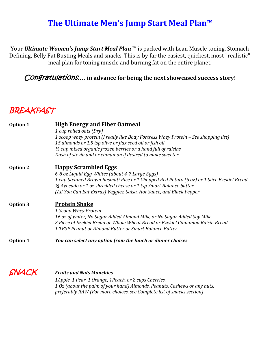### **The Ultimate Men's Jump Start Meal Plan™**

Your *Ultimate Women's Jump Start Meal Plan* **™** is packed with Lean Muscle toning, Stomach Defining, Belly Fat Busting Meals and snacks. This is by far the easiest, quickest, most "realistic" meal plan for toning muscle and burning fat on the entire planet.

#### Congratulations... in advance for being the next showcased success story!

### **BREAKFAST**

| <b>Option 1</b> | <b>High Energy and Fiber Oatmeal</b><br>1 cup rolled oats (Dry)                                                                                 |
|-----------------|-------------------------------------------------------------------------------------------------------------------------------------------------|
|                 | 1 scoop whey protein (I really like Body Fortress Whey Protein – See shopping list)<br>15 almonds or 1.5 tsp olive or flax seed oil or fish oil |
|                 | $\frac{1}{2}$ cup mixed organic frozen berries or a hand full of raisins                                                                        |
|                 | Dash of stevia and or cinnamon if desired to make sweeter                                                                                       |
| Option 2        | <b>Happy Scrambled Eggs</b>                                                                                                                     |
|                 | 6-8 oz Liquid Egg Whites (about 4-7 Large Eggs)                                                                                                 |
|                 | 1 cup Steamed Brown Basmati Rice or 1 Chopped Red Potato (6 oz) or 1 Slice Ezekiel Bread                                                        |
|                 | 1/2 Avocado or 1 oz shredded cheese or 1 tsp Smart Balance butter                                                                               |
|                 | (All You Can Eat Extras) Veggies, Salsa, Hot Sauce, and Black Pepper                                                                            |
| <b>Option 3</b> | <u>Protein Shake</u>                                                                                                                            |
|                 | 1 Scoop Whey Protein                                                                                                                            |
|                 | 16 oz of water, No Sugar Added Almond Milk, or No Sugar Added Soy Milk                                                                          |
|                 | 2 Piece of Ezekiel Bread or Whole Wheat Bread or Ezekiel Cinnamon Raisin Bread                                                                  |
|                 | 1 TBSP Peanut or Almond Butter or Smart Balance Butter                                                                                          |
| Option 4        | You can select any option from the lunch or dinner choices                                                                                      |
|                 |                                                                                                                                                 |

SNACK *Fruits and Nuts Munchies*

*1Apple, 1 Pear, 1 Orange, 1Peach, or 2 cups Cherries, 1 Oz (about the palm of your hand) Almonds, Peanuts, Cashews or any nuts, preferably RAW (For more choices, see Complete list of snacks section)*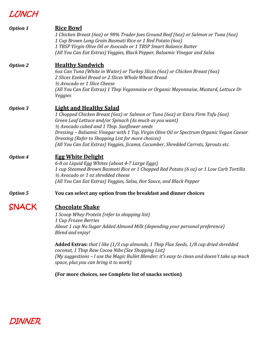### LUNCH

| <b>Option 1</b> | <b>Rice Bowl</b><br>1 Chicken Breast (6oz) or 98% Trader Joes Ground Beef (6oz) or Salmon or Tuna (6oz)<br>1 Cup Brown Long Grain Basmati Rice or 1 Red Potato (60z)<br>1 TBSP Virgin Olive Oil or Avocado or 1 TBSP Smart Balance Butter<br>(All You Can Eat Extras) Veggies, Black Pepper, Balsamic Vinegar and Salsa                                                                                                                                                                                                                                       |
|-----------------|---------------------------------------------------------------------------------------------------------------------------------------------------------------------------------------------------------------------------------------------------------------------------------------------------------------------------------------------------------------------------------------------------------------------------------------------------------------------------------------------------------------------------------------------------------------|
| <b>Option 2</b> | <b>Healthy Sandwich</b><br>60z Can Tuna (White in Water) or Turkey Slices (60z) or Chicken Breast (60z)<br>2 Slices Ezekiel Bread or 2 Slices Whole Wheat Bread<br>1/2 Avocado or 1 Slice Cheese<br>(All You Can Eat Extras) 1 Tbsp Vegannaise or Organic Mayonnaise, Mustard, Lettuce Or<br>Veggies                                                                                                                                                                                                                                                          |
| <b>Option 3</b> | <b>Light and Healthy Salad</b><br>1 Chopped Chicken Breast (6oz) or Salmon or Tuna (6oz) or Extra Firm Tofu (6oz)<br>Green Leaf Lettuce and/or Spinach (As much as you want)<br>1/2 Avocado cubed and 1 Tbsp. Sunflower seeds<br>Dressing - Balsamic Vinegar with 1 Tsp, Virgin Olive Oil or Spectrum Organic Vegan Caesar<br>Dressing (Refer to Shopping List for more choices)<br>(All You Can Eat Extras) Veggies, Jicama, Cucumber, Shredded Carrots, Sprouts etc.                                                                                        |
| <b>Option 4</b> | <b>Egg White Delight</b><br>6-8 oz Liquid Egg Whites (about 4-7 Large Eggs)<br>1 cup Steamed Brown Basmati Rice or 1 Chopped Red Potato (6 oz) or 1 Low Carb Tortilla<br>1/2 Avocado or 1 oz shredded cheese<br>(All You Can Eat Extras) Veggies, Salsa, Hot Sauce, and Black Pepper                                                                                                                                                                                                                                                                          |
| <b>Option 5</b> | You can select any option from the breakfast and dinner choices                                                                                                                                                                                                                                                                                                                                                                                                                                                                                               |
|                 | <b>Chocolate Shake</b><br>1 Scoop Whey Protein (refer to shopping list)<br>1 Cup Frozen Berries<br>About 1 cup No Sugar Added Almond Milk (depending your personal preference)<br>Blend and enjoy!<br><b>Added Extras:</b> that I like (1/3 cup almonds, 1 Tbsp Flax Seeds, 1/8 cup dried shredded<br>coconut, 1 Tbsp Raw Cocoa Nibs (See Shopping List)<br>(My suggestions - I use the Magic Bullet Blender; it's easy to clean and doesn't take up much<br>space, plus you can bring it to work)<br>(For more choices, see Complete list of snacks section) |
|                 |                                                                                                                                                                                                                                                                                                                                                                                                                                                                                                                                                               |

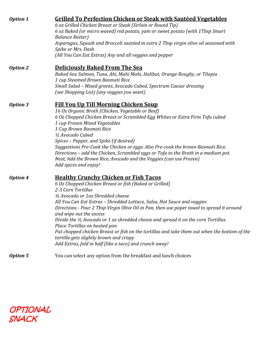| <b>Option 1</b> | Grilled To Perfection Chicken or Steak with Sautéed Vegetables<br>6 oz Grilled Chicken Breast or Steak (Sirloin or Round Tip)<br>6 oz Baked (or micro waved) red potato, yam or sweet potato (with 1Tbsp Smart<br><b>Balance Butter</b> )<br>Asparagus, Squash and Broccoli sautéed in extra 2 Tbsp virgin olive oil seasoned with<br>Spike or Mrs. Dash<br>(All You Can Eat Extras) Any and all veggies and pepper                                                                                                                                                                                                                                                                                   |
|-----------------|-------------------------------------------------------------------------------------------------------------------------------------------------------------------------------------------------------------------------------------------------------------------------------------------------------------------------------------------------------------------------------------------------------------------------------------------------------------------------------------------------------------------------------------------------------------------------------------------------------------------------------------------------------------------------------------------------------|
| <b>Option 2</b> | <b>Deliciously Baked From The Sea</b><br>Baked 6oz Salmon, Tuna, Ahi, Mahi Mahi, Halibut, Orange Roughy, or Tilapia<br>1 cup Steamed Brown Basmati Rice<br>Small Salad - Mixed greens, Avocado Cubed, Spectrum Caesar dressing<br>(see Shopping List) (any veggies you want)                                                                                                                                                                                                                                                                                                                                                                                                                          |
| <b>Option 3</b> | <b>Fill You Up Till Morning Chicken Soup</b><br>16 Oz Organic Broth (Chicken, Vegetable or Beef)<br>6 Oz Chopped Chicken Breast or Scrambled Egg Whites or Extra Firm Tofu cubed<br>1 cup Frozen Mixed Vegetables<br>1 Cup Brown Basmati Rice<br>1/2 Avocado Cubed<br>Spices – Pepper, and Spike (if desired)<br>Suggestions Pre-Cook the Chicken or eggs. Also Pre-cook the brown Basmati Rice.<br>Directions – add the Chicken, Scrambled eggs or Tofu to the Broth in a medium pot.<br>Next, Add the Brown Rice, Avocado and the Veggies (can use Frozen)<br>Add spices and enjoy!                                                                                                                 |
| <b>Option 4</b> | <b>Healthy Crunchy Chicken or Fish Tacos</b><br>6 Oz Chopped Chicken Breast or fish (Baked or Grilled)<br>2-3 Corn Tortillas<br>1/2 Avocado or 1 oz Shredded cheese<br>All You Can Eat Extras - Shredded Lettuce, Salsa, Hot Sauce and veggies<br>Directions - Pour 2 Tbsp Virgin Olive Oil in Pan, then use paper towel to spread it around<br>and wipe out the excess<br>Divide the 1/2 Avocado or 1 oz shredded cheese and spread it on the corn Tortillas.<br>Place Tortillas on heated pan<br>Put chopped chicken Breast or fish on the tortillas and take them out when the bottom of the<br>tortilla gets slightly brown and crispy<br>Add Extras, fold in half (like a taco) and crunch away! |
| <b>Option 5</b> | You can select any option from the breakfast and lunch choices                                                                                                                                                                                                                                                                                                                                                                                                                                                                                                                                                                                                                                        |

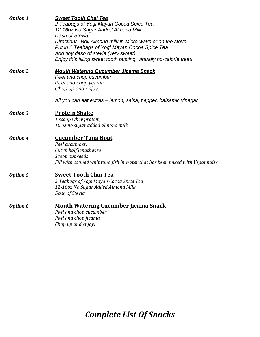| <b>Option 1</b> | <b>Sweet Tooth Chai Tea</b><br>2 Teabags of Yogi Mayan Cocoa Spice Tea<br>12-16oz No Sugar Added Almond Milk<br>Dash of Stevia<br>Directions- Boil Almond milk in Micro-wave or on the stove.<br>Put in 2 Teabags of Yogi Mayan Cocoa Spice Tea<br>Add tiny dash of stevia (very sweet)<br>Enjoy this filling sweet tooth busting, virtually no-calorie treat! |
|-----------------|----------------------------------------------------------------------------------------------------------------------------------------------------------------------------------------------------------------------------------------------------------------------------------------------------------------------------------------------------------------|
| <b>Option 2</b> | <b>Mouth Watering Cucumber Jicama Snack</b><br>Peel and chop cucumber<br>Peel and chop jicama<br>Chop up and enjoy<br>All you can eat extras – lemon, salsa, pepper, balsamic vinegar                                                                                                                                                                          |
| <b>Option 3</b> | <b>Protein Shake</b><br>1 scoop whey protein,<br>16 oz no sugar added almond milk                                                                                                                                                                                                                                                                              |
| <b>Option 4</b> | <b>Cucumber Tuna Boat</b><br>Peel cucumber,<br>Cut in half lengthwise<br>Scoop out seeds<br>Fill with canned whit tuna fish in water that has been mixed with Vegannaise                                                                                                                                                                                       |
| <b>Option 5</b> | <b>Sweet Tooth Chai Tea</b><br>2 Teabags of Yogi Mayan Cocoa Spice Tea<br>12-16oz No Sugar Added Almond Milk<br>Dash of Stevia                                                                                                                                                                                                                                 |
| Option 6        | <b>Mouth Watering Cucumber Jicama Snack</b><br>Peel and chop cucumber<br>Peel and chop jicama<br>Chop up and enjoy!                                                                                                                                                                                                                                            |

*Complete List Of Snacks*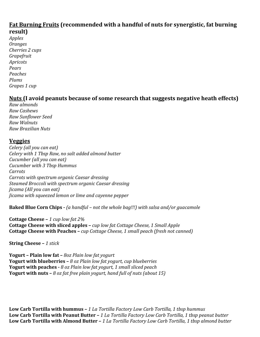#### **Fat Burning Fruits (recommended with a handful of nuts for synergistic, fat burning result)**

*Apples Oranges Cherries 2 cups Grapefruit Apricots Pears Peaches Plums Grapes 1 cup*

#### **Nuts (I avoid peanuts because of some research that suggests negative heath effects)**

*Raw almonds Raw Cashews Raw Sunflower Seed Raw Walnuts Raw Brazilian Nuts*

#### **Veggies**

*Celery (all you can eat) Celery with 1 Tbsp Raw, no salt added almond butter Cucumber (all you can eat) Cucumber with 3 Tbsp Hummus Carrots Carrots with spectrum organic Caesar dressing Steamed Broccoli with spectrum organic Caesar dressing Jicama (All you can eat) Jicama with squeezed lemon or lime and cayenne pepper*

**Baked Blue Corn Chips -** *(a handful – not the whole bag!!!) with salsa and/or guacamole*

**Cottage Cheese –** *1 cup low fat 2%* **Cottage Cheese with sliced apples –** *cup low fat Cottage Cheese, 1 Small Apple* **Cottage Cheese with Peaches –** *cup Cottage Cheese, 1 small peach (fresh not canned)*

**String Cheese –** *1 stick*

**Yogurt – Plain low fat –** *8oz Plain low fat yogurt* **Yogurt with blueberries –** *8 oz Plain low fat yogurt, cup blueberries* **Yogurt with peaches -** *8 oz Plain low fat yogurt, 1 small sliced peach* **Yogurt with nuts –** *8 oz fat free plain yogurt, hand full of nuts (about 15)*

**Low Carb Tortilla with hummus –** *1 La Tortilla Factory Low Carb Tortilla, 1 tbsp hummus* **Low Carb Tortilla with Peanut Butter –** *1 La Tortilla Factory Low Carb Tortilla, 1 tbsp peanut butter* **Low Carb Tortilla with Almond Butter –** *1 La Tortilla Factory Low Carb Tortilla, 1 tbsp almond butter*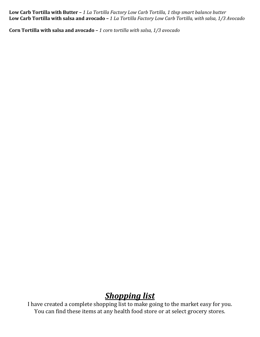**Low Carb Tortilla with Butter –** *1 La Tortilla Factory Low Carb Tortilla, 1 tbsp smart balance butter* **Low Carb Tortilla with salsa and avocado –** *1 La Tortilla Factory Low Carb Tortilla, with salsa, 1/3 Avocado*

**Corn Tortilla with salsa and avocado –** *1 corn tortilla with salsa, 1/3 avocado*

### *Shopping list*

I have created a complete shopping list to make going to the market easy for you. You can find these items at any health food store or at select grocery stores.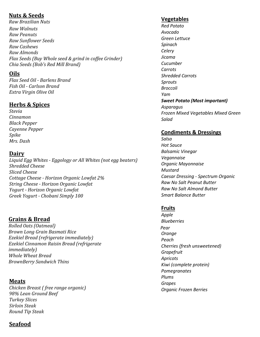#### **Nuts & Seeds**

*Raw Brazilian Nuts Raw Walnuts Raw Peanuts Raw Sunflower Seeds Raw Cashews Raw Almonds Flax Seeds (Buy Whole seed & grind in coffee Grinder) Chia Seeds (Bob's Red Mill Brand)*

#### **Oils**

*Flax Seed Oil - Barlens Brand Fish Oil - Carlson Brand Extra Virgin Olive Oil* 

#### **Herbs & Spices**

*Stevia Cinnamon Black Pepper Cayenne Pepper Spike Mrs. Dash*

#### **Dairy**

*Liquid Egg Whites - Eggology or All Whites (not egg beaters) Shredded Cheese Sliced Cheese Cottage Cheese - Horizon Organic Lowfat 2% String Cheese - Horizon Organic Lowfat Yogurt - Horizon Organic Lowfat Greek Yogurt - Chobani Simply 100*

#### **Grains & Bread**

*Rolled Oats (Oatmeal) Brown Long Grain Basmati Rice Ezekiel Bread (refrigerate immediately) Ezekiel Cinnamon Raisin Bread (refrigerate immediately) Whole Wheat Bread BrownBerry Sandwich Thins*

#### **Meats**

*Chicken Breast ( free range organic) 98% Lean Ground Beef Turkey Slices Sirloin Steak Round Tip Steak*

#### **Vegetables**

*Red Potato Avocado Green Lettuce Spinach Celery Jicama Cucumber Carrots Shredded Carrots Sprouts Broccoli Yam Sweet Potato (Most important) Asparagus Frozen Mixed Vegetables Mixed Green Salad*

#### **Condiments & Dressings**

*Salsa Hot Sauce Balsamic Vinegar Vegannaise Organic Mayonnaise Mustard Caesar Dressing - Spectrum Organic Raw No Salt Peanut Butter Raw No Salt Almond Butter Smart Balance Butter*

#### **Fruits**

*Apple Blueberries Pear Orange Peach Cherries (fresh unsweetened) Grapefruit Apricots Kiwi (complete protein) Pomegranates Plums Grapes Organic Frozen Berries*

#### **Seafood**